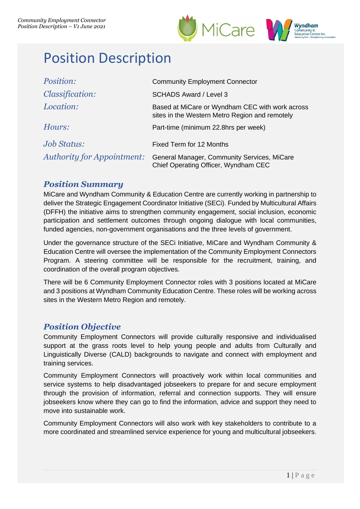



# Position Description

| Position:                         | <b>Community Employment Connector</b>                                                             |
|-----------------------------------|---------------------------------------------------------------------------------------------------|
| <i>Classification:</i>            | <b>SCHADS Award / Level 3</b>                                                                     |
| Location:                         | Based at MiCare or Wyndham CEC with work across<br>sites in the Western Metro Region and remotely |
| Hours:                            | Part-time (minimum 22.8hrs per week)                                                              |
| <i><b>Job Status:</b></i>         | Fixed Term for 12 Months                                                                          |
| <b>Authority for Appointment:</b> | General Manager, Community Services, MiCare<br>Chief Operating Officer, Wyndham CEC               |

## *Position Summary*

MiCare and Wyndham Community & Education Centre are currently working in partnership to deliver the Strategic Engagement Coordinator Initiative (SECi). Funded by Multicultural Affairs (DFFH) the initiative aims to strengthen community engagement, social inclusion, economic participation and settlement outcomes through ongoing dialogue with local communities, funded agencies, non-government organisations and the three levels of government.

Under the governance structure of the SECi Initiative, MiCare and Wyndham Community & Education Centre will oversee the implementation of the Community Employment Connectors Program. A steering committee will be responsible for the recruitment, training, and coordination of the overall program objectives.

There will be 6 Community Employment Connector roles with 3 positions located at MiCare and 3 positions at Wyndham Community Education Centre. These roles will be working across sites in the Western Metro Region and remotely.

## *Position Objective*

Community Employment Connectors will provide culturally responsive and individualised support at the grass roots level to help young people and adults from Culturally and Linguistically Diverse (CALD) backgrounds to navigate and connect with employment and training services.

Community Employment Connectors will proactively work within local communities and service systems to help disadvantaged jobseekers to prepare for and secure employment through the provision of information, referral and connection supports. They will ensure jobseekers know where they can go to find the information, advice and support they need to move into sustainable work.

Community Employment Connectors will also work with key stakeholders to contribute to a more coordinated and streamlined service experience for young and multicultural jobseekers.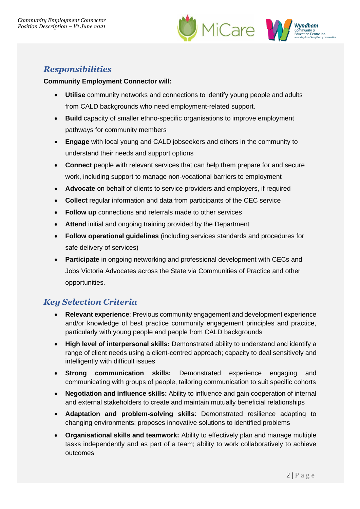



# *Responsibilities*

#### **Community Employment Connector will:**

- **Utilise** community networks and connections to identify young people and adults from CALD backgrounds who need employment-related support.
- **Build** capacity of smaller ethno-specific organisations to improve employment pathways for community members
- **Engage** with local young and CALD jobseekers and others in the community to understand their needs and support options
- **Connect** people with relevant services that can help them prepare for and secure work, including support to manage non-vocational barriers to employment
- **Advocate** on behalf of clients to service providers and employers, if required
- **Collect** regular information and data from participants of the CEC service
- **Follow up** connections and referrals made to other services
- **Attend** initial and ongoing training provided by the Department
- **Follow operational guidelines** (including services standards and procedures for safe delivery of services)
- **Participate** in ongoing networking and professional development with CECs and Jobs Victoria Advocates across the State via Communities of Practice and other opportunities.

# *Key Selection Criteria*

- **Relevant experience**: Previous community engagement and development experience and/or knowledge of best practice community engagement principles and practice, particularly with young people and people from CALD backgrounds
- **High level of interpersonal skills:** Demonstrated ability to understand and identify a range of client needs using a client-centred approach; capacity to deal sensitively and intelligently with difficult issues
- **Strong communication skills:** Demonstrated experience engaging and communicating with groups of people, tailoring communication to suit specific cohorts
- **Negotiation and influence skills:** Ability to influence and gain cooperation of internal and external stakeholders to create and maintain mutually beneficial relationships
- **Adaptation and problem-solving skills**: Demonstrated resilience adapting to changing environments; proposes innovative solutions to identified problems
- **Organisational skills and teamwork:** Ability to effectively plan and manage multiple tasks independently and as part of a team; ability to work collaboratively to achieve outcomes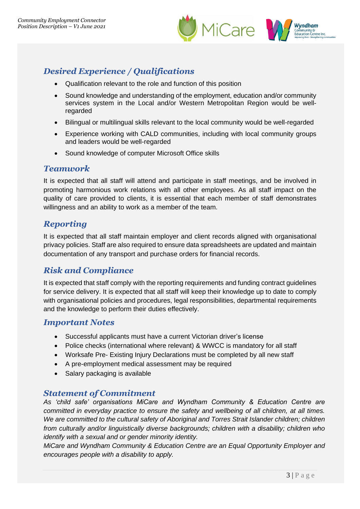



# *Desired Experience / Qualifications*

- Qualification relevant to the role and function of this position
- Sound knowledge and understanding of the employment, education and/or community services system in the Local and/or Western Metropolitan Region would be wellregarded
- Bilingual or multilingual skills relevant to the local community would be well-regarded
- Experience working with CALD communities, including with local community groups and leaders would be well-regarded
- Sound knowledge of computer Microsoft Office skills

## *Teamwork*

It is expected that all staff will attend and participate in staff meetings, and be involved in promoting harmonious work relations with all other employees. As all staff impact on the quality of care provided to clients, it is essential that each member of staff demonstrates willingness and an ability to work as a member of the team.

## *Reporting*

It is expected that all staff maintain employer and client records aligned with organisational privacy policies. Staff are also required to ensure data spreadsheets are updated and maintain documentation of any transport and purchase orders for financial records.

# *Risk and Compliance*

It is expected that staff comply with the reporting requirements and funding contract guidelines for service delivery. It is expected that all staff will keep their knowledge up to date to comply with organisational policies and procedures, legal responsibilities, departmental requirements and the knowledge to perform their duties effectively.

## *Important Notes*

- Successful applicants must have a current Victorian driver's license
- Police checks (international where relevant) & WWCC is mandatory for all staff
- Worksafe Pre- Existing Injury Declarations must be completed by all new staff
- A pre-employment medical assessment may be required
- Salary packaging is available

## *Statement of Commitment*

*As 'child safe' organisations MiCare and Wyndham Community & Education Centre are committed in everyday practice to ensure the safety and wellbeing of all children, at all times.*  We are committed to the cultural safety of Aboriginal and Torres Strait Islander children; children *from culturally and/or linguistically diverse backgrounds; children with a disability; children who identify with a sexual and or gender minority identity.*

*MiCare and Wyndham Community & Education Centre are an Equal Opportunity Employer and encourages people with a disability to apply.*